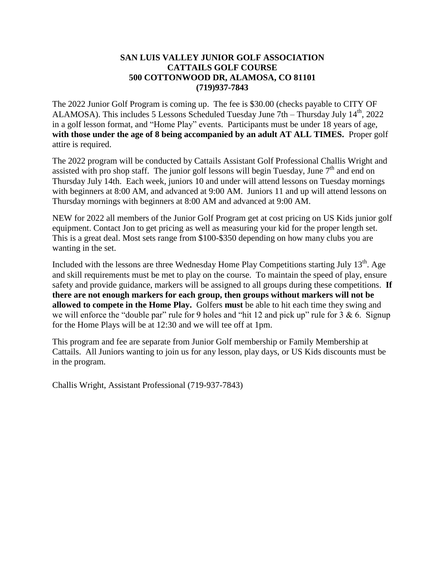## **SAN LUIS VALLEY JUNIOR GOLF ASSOCIATION CATTAILS GOLF COURSE 500 COTTONWOOD DR, ALAMOSA, CO 81101 (719)937-7843**

The 2022 Junior Golf Program is coming up. The fee is \$30.00 (checks payable to CITY OF ALAMOSA). This includes 5 Lessons Scheduled Tuesday June 7th – Thursday July 14th , 2022 in a golf lesson format, and "Home Play" events. Participants must be under 18 years of age, **with those under the age of 8 being accompanied by an adult AT ALL TIMES.** Proper golf attire is required.

The 2022 program will be conducted by Cattails Assistant Golf Professional Challis Wright and assisted with pro shop staff. The junior golf lessons will begin Tuesday, June  $7<sup>th</sup>$  and end on Thursday July 14th. Each week, juniors 10 and under will attend lessons on Tuesday mornings with beginners at 8:00 AM, and advanced at 9:00 AM. Juniors 11 and up will attend lessons on Thursday mornings with beginners at 8:00 AM and advanced at 9:00 AM.

NEW for 2022 all members of the Junior Golf Program get at cost pricing on US Kids junior golf equipment. Contact Jon to get pricing as well as measuring your kid for the proper length set. This is a great deal. Most sets range from \$100-\$350 depending on how many clubs you are wanting in the set.

Included with the lessons are three Wednesday Home Play Competitions starting July  $13<sup>th</sup>$ . Age and skill requirements must be met to play on the course. To maintain the speed of play, ensure safety and provide guidance, markers will be assigned to all groups during these competitions. **If there are not enough markers for each group, then groups without markers will not be allowed to compete in the Home Play.** Golfers **must** be able to hit each time they swing and we will enforce the "double par" rule for 9 holes and "hit 12 and pick up" rule for  $3 \& 6$ . Signup for the Home Plays will be at 12:30 and we will tee off at 1pm.

This program and fee are separate from Junior Golf membership or Family Membership at Cattails. All Juniors wanting to join us for any lesson, play days, or US Kids discounts must be in the program.

Challis Wright, Assistant Professional (719-937-7843)